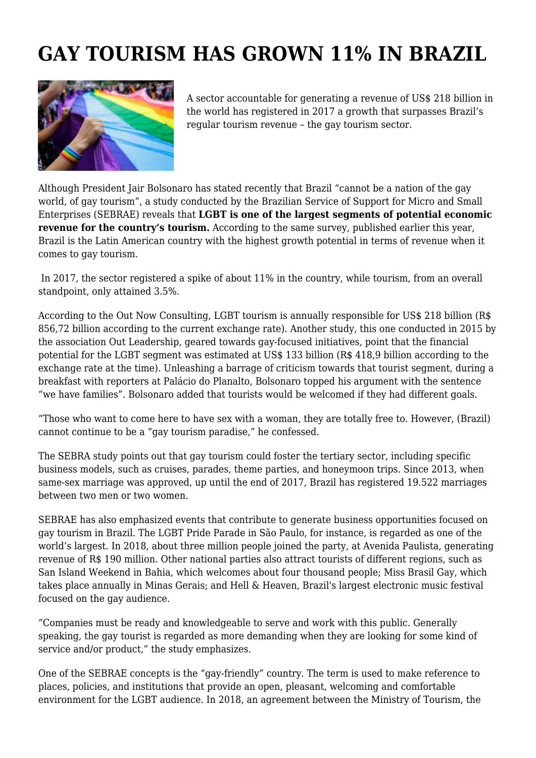## **GAY TOURISM HAS GROWN 11% IN BRAZIL**



A sector accountable for generating a revenue of US\$ 218 billion in the world has registered in 2017 a growth that surpasses Brazil's regular tourism revenue – the gay tourism sector.

Although President Jair Bolsonaro has stated recently that Brazil "cannot be a nation of the gay world, of gay tourism", a study conducted by the Brazilian Service of Support for Micro and Small Enterprises (SEBRAE) reveals that **LGBT is one of the largest segments of potential economic revenue for the country's tourism.** According to the same survey, published earlier this year, Brazil is the Latin American country with the highest growth potential in terms of revenue when it comes to gay tourism.

 In 2017, the sector registered a spike of about 11% in the country, while tourism, from an overall standpoint, only attained 3.5%.

According to the Out Now Consulting, LGBT tourism is annually responsible for US\$ 218 billion (R\$ 856,72 billion according to the current exchange rate). Another study, this one conducted in 2015 by the association Out Leadership, geared towards gay-focused initiatives, point that the financial potential for the LGBT segment was estimated at US\$ 133 billion (R\$ 418,9 billion according to the exchange rate at the time). Unleashing a barrage of criticism towards that tourist segment, during a breakfast with reporters at Palácio do Planalto, Bolsonaro topped his argument with the sentence "we have families". Bolsonaro added that tourists would be welcomed if they had different goals.

"Those who want to come here to have sex with a woman, they are totally free to. However, (Brazil) cannot continue to be a "gay tourism paradise," he confessed.

The SEBRA study points out that gay tourism could foster the tertiary sector, including specific business models, such as cruises, parades, theme parties, and honeymoon trips. Since 2013, when same-sex marriage was approved, up until the end of 2017, Brazil has registered 19.522 marriages between two men or two women.

SEBRAE has also emphasized events that contribute to generate business opportunities focused on gay tourism in Brazil. The LGBT Pride Parade in São Paulo, for instance, is regarded as one of the world's largest. In 2018, about three million people joined the party, at Avenida Paulista, generating revenue of R\$ 190 million. Other national parties also attract tourists of different regions, such as San Island Weekend in Bahia, which welcomes about four thousand people; Miss Brasil Gay, which takes place annually in Minas Gerais; and Hell & Heaven, Brazil's largest electronic music festival focused on the gay audience.

"Companies must be ready and knowledgeable to serve and work with this public. Generally speaking, the gay tourist is regarded as more demanding when they are looking for some kind of service and/or product," the study emphasizes.

One of the SEBRAE concepts is the "gay-friendly" country. The term is used to make reference to places, policies, and institutions that provide an open, pleasant, welcoming and comfortable environment for the LGBT audience. In 2018, an agreement between the Ministry of Tourism, the